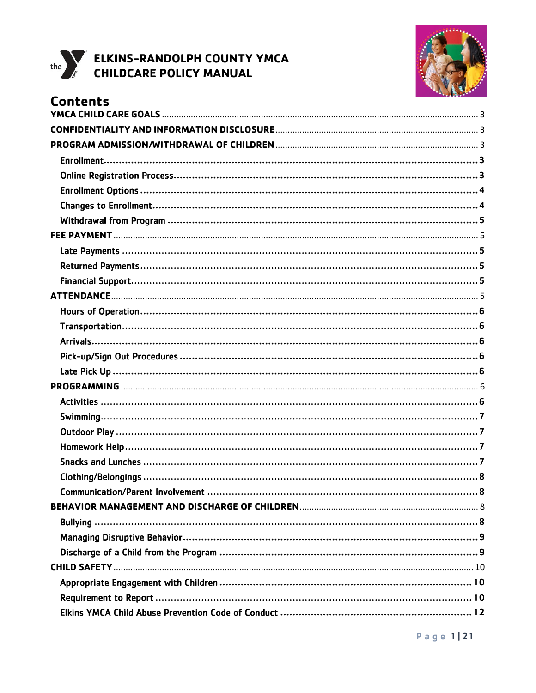



# **Contents**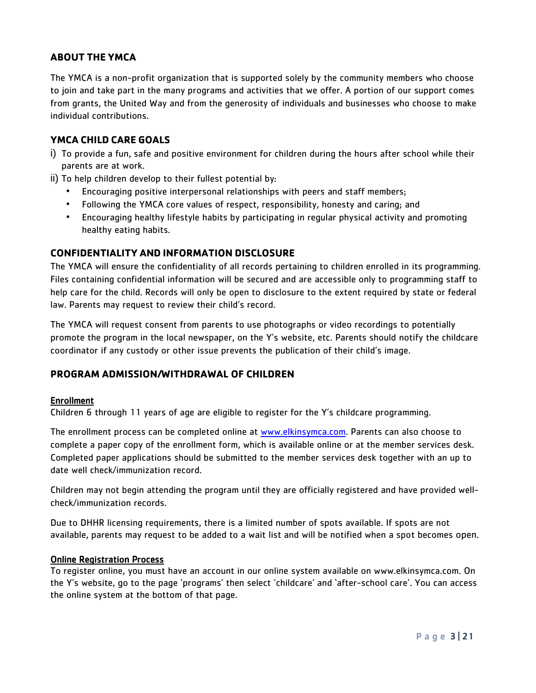# **ABOUT THE YMCA**

The YMCA is a non-profit organization that is supported solely by the community members who choose to join and take part in the many programs and activities that we offer. A portion of our support comes from grants, the United Way and from the generosity of individuals and businesses who choose to make individual contributions.

# <span id="page-2-0"></span>**YMCA CHILD CARE GOALS**

- i) To provide a fun, safe and positive environment for children during the hours after school while their parents are at work.
- ii) To help children develop to their fullest potential by:
	- Encouraging positive interpersonal relationships with peers and staff members;
	- Following the YMCA core values of respect, responsibility, honesty and caring; and
	- Encouraging healthy lifestyle habits by participating in regular physical activity and promoting healthy eating habits.

# <span id="page-2-1"></span>**CONFIDENTIALITY AND INFORMATION DISCLOSURE**

The YMCA will ensure the confidentiality of all records pertaining to children enrolled in its programming. Files containing confidential information will be secured and are accessible only to programming staff to help care for the child. Records will only be open to disclosure to the extent required by state or federal law. Parents may request to review their child's record.

The YMCA will request consent from parents to use photographs or video recordings to potentially promote the program in the local newspaper, on the Y's website, etc. Parents should notify the childcare coordinator if any custody or other issue prevents the publication of their child's image.

# <span id="page-2-2"></span>**PROGRAM ADMISSION/WITHDRAWAL OF CHILDREN**

#### <span id="page-2-3"></span>Enrollment

Children 6 through 11 years of age are eligible to register for the Y's childcare programming.

The enrollment process can be completed online at [www.elkinsymca.com.](http://www.elkinsymca.com/) Parents can also choose to complete a paper copy of the enrollment form, which is available online or at the member services desk. Completed paper applications should be submitted to the member services desk together with an up to date well check/immunization record.

Children may not begin attending the program until they are officially registered and have provided wellcheck/immunization records.

Due to DHHR licensing requirements, there is a limited number of spots available. If spots are not available, parents may request to be added to a wait list and will be notified when a spot becomes open.

#### <span id="page-2-4"></span>Online Registration Process

To register online, you must have an account in our online system available on www.elkinsymca.com. On the Y's website, go to the page 'programs' then select 'childcare' and 'after-school care'. You can access the online system at the bottom of that page.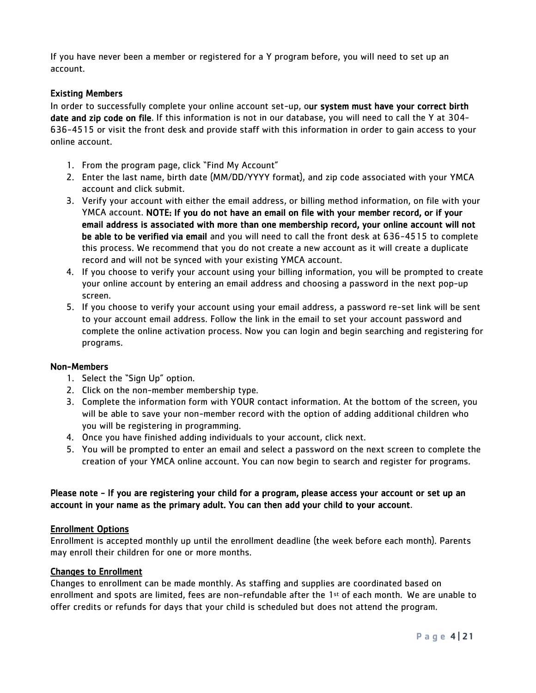If you have never been a member or registered for a Y program before, you will need to set up an account.

# Existing Members

In order to successfully complete your online account set-up, our system must have your correct birth date and zip code on file. If this information is not in our database, you will need to call the Y at 304- 636-4515 or visit the front desk and provide staff with this information in order to gain access to your online account.

- 1. From the program page, click "Find My Account"
- 2. Enter the last name, birth date (MM/DD/YYYY format), and zip code associated with your YMCA account and click submit.
- 3. Verify your account with either the email address, or billing method information, on file with your YMCA account. NOTE: If you do not have an email on file with your member record, or if your email address is associated with more than one membership record, your online account will not be able to be verified via email and you will need to call the front desk at 636-4515 to complete this process. We recommend that you do not create a new account as it will create a duplicate record and will not be synced with your existing YMCA account.
- 4. If you choose to verify your account using your billing information, you will be prompted to create your online account by entering an email address and choosing a password in the next pop-up screen.
- 5. If you choose to verify your account using your email address, a password re-set link will be sent to your account email address. Follow the link in the email to set your account password and complete the online activation process. Now you can login and begin searching and registering for programs.

#### Non-Members

- 1. Select the "Sign Up" option.
- 2. Click on the non-member membership type.
- 3. Complete the information form with YOUR contact information. At the bottom of the screen, you will be able to save your non-member record with the option of adding additional children who you will be registering in programming.
- 4. Once you have finished adding individuals to your account, click next.
- 5. You will be prompted to enter an email and select a password on the next screen to complete the creation of your YMCA online account. You can now begin to search and register for programs.

# Please note - If you are registering your child for a program, please access your account or set up an account in your name as the primary adult. You can then add your child to your account.

#### <span id="page-3-0"></span>Enrollment Options

Enrollment is accepted monthly up until the enrollment deadline (the week before each month). Parents may enroll their children for one or more months.

#### <span id="page-3-1"></span>Changes to Enrollment

Changes to enrollment can be made monthly. As staffing and supplies are coordinated based on enrollment and spots are limited, fees are non-refundable after the 1st of each month. We are unable to offer credits or refunds for days that your child is scheduled but does not attend the program.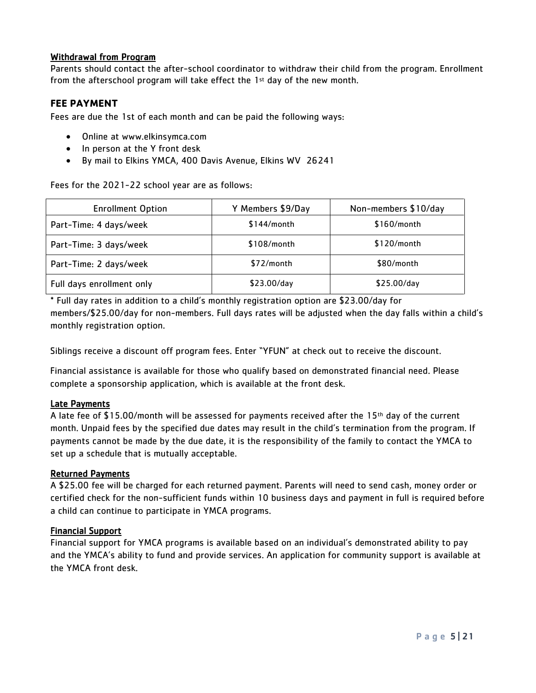# <span id="page-4-0"></span>Withdrawal from Program

Parents should contact the after-school coordinator to withdraw their child from the program. Enrollment from the afterschool program will take effect the  $1<sup>st</sup>$  day of the new month.

# <span id="page-4-1"></span>**FEE PAYMENT**

Fees are due the 1st of each month and can be paid the following ways:

- Online at www.elkinsymca.com
- In person at the Y front desk
- By mail to Elkins YMCA, 400 Davis Avenue, Elkins WV 26241

Fees for the 2021-22 school year are as follows:

| <b>Enrollment Option</b>  | Y Members \$9/Day | Non-members \$10/day |
|---------------------------|-------------------|----------------------|
| Part-Time: 4 days/week    | $$144/m$ onth     | $$160/m$ onth        |
| Part-Time: 3 days/week    | $$108/m$ onth     | $$120/m$ onth        |
| Part-Time: 2 days/week    | $$72/m$ onth      | \$80/month           |
| Full days enrollment only | \$23.00/day       | \$25.00/day          |

\* Full day rates in addition to a child's monthly registration option are \$23.00/day for members/\$25.00/day for non-members. Full days rates will be adjusted when the day falls within a child's monthly registration option.

Siblings receive a discount off program fees. Enter "YFUN" at check out to receive the discount.

Financial assistance is available for those who qualify based on demonstrated financial need. Please complete a sponsorship application, which is available at the front desk.

#### <span id="page-4-2"></span>Late Payments

A late fee of \$15.00/month will be assessed for payments received after the 15th day of the current month. Unpaid fees by the specified due dates may result in the child's termination from the program. If payments cannot be made by the due date, it is the responsibility of the family to contact the YMCA to set up a schedule that is mutually acceptable.

#### <span id="page-4-3"></span>Returned Payments

A \$25.00 fee will be charged for each returned payment. Parents will need to send cash, money order or certified check for the non-sufficient funds within 10 business days and payment in full is required before a child can continue to participate in YMCA programs.

#### <span id="page-4-4"></span>Financial Support

<span id="page-4-5"></span>Financial support for YMCA programs is available based on an individual's demonstrated ability to pay and the YMCA's ability to fund and provide services. An application for community support is available at the YMCA front desk.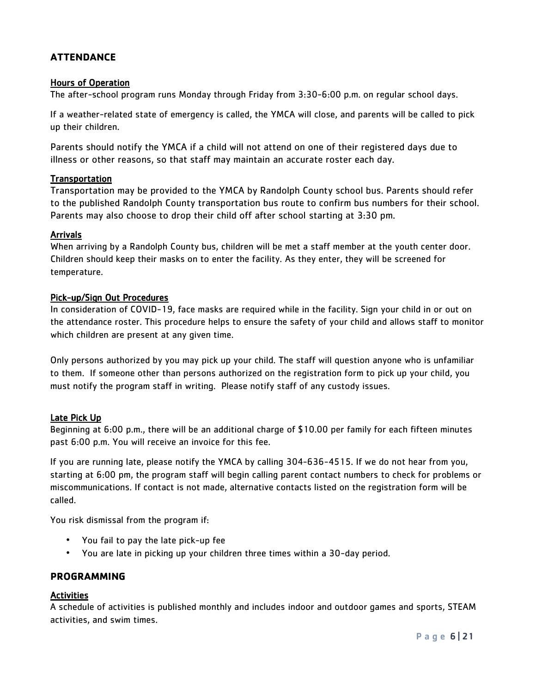# **ATTENDANCE**

# <span id="page-5-0"></span>Hours of Operation

The after-school program runs Monday through Friday from 3:30-6:00 p.m. on regular school days.

If a weather-related state of emergency is called, the YMCA will close, and parents will be called to pick up their children.

Parents should notify the YMCA if a child will not attend on one of their registered days due to illness or other reasons, so that staff may maintain an accurate roster each day.

# <span id="page-5-1"></span>**Transportation**

Transportation may be provided to the YMCA by Randolph County school bus. Parents should refer to the published Randolph County transportation bus route to confirm bus numbers for their school. Parents may also choose to drop their child off after school starting at 3:30 pm.

# <span id="page-5-2"></span>**Arrivals**

When arriving by a Randolph County bus, children will be met a staff member at the youth center door. Children should keep their masks on to enter the facility. As they enter, they will be screened for temperature.

# <span id="page-5-3"></span>Pick-up/Sign Out Procedures

In consideration of COVID-19, face masks are required while in the facility. Sign your child in or out on the attendance roster. This procedure helps to ensure the safety of your child and allows staff to monitor which children are present at any given time.

Only persons authorized by you may pick up your child. The staff will question anyone who is unfamiliar to them. If someone other than persons authorized on the registration form to pick up your child, you must notify the program staff in writing. Please notify staff of any custody issues.

# <span id="page-5-4"></span>Late Pick Up

Beginning at 6:00 p.m., there will be an additional charge of \$10.00 per family for each fifteen minutes past 6:00 p.m. You will receive an invoice for this fee.

If you are running late, please notify the YMCA by calling 304-636-4515. If we do not hear from you, starting at 6:00 pm, the program staff will begin calling parent contact numbers to check for problems or miscommunications. If contact is not made, alternative contacts listed on the registration form will be called.

You risk dismissal from the program if:

- You fail to pay the late pick-up fee
- You are late in picking up your children three times within a 30-day period.

# <span id="page-5-5"></span>**PROGRAMMING**

#### <span id="page-5-6"></span>Activities

A schedule of activities is published monthly and includes indoor and outdoor games and sports, STEAM activities, and swim times.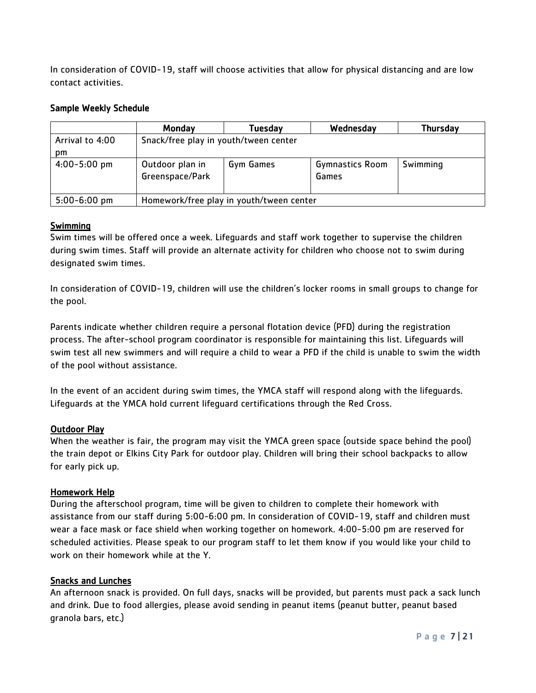In consideration of COVID-19, staff will choose activities that allow for physical distancing and are low contact activities.

### Sample Weekly Schedule

|                  | Monday                                   | Tuesday   | Wednesday                       | <b>Thursday</b> |
|------------------|------------------------------------------|-----------|---------------------------------|-----------------|
| Arrival to 4:00  | Snack/free play in youth/tween center    |           |                                 |                 |
| pm.              |                                          |           |                                 |                 |
| $4:00 - 5:00$ pm | Outdoor plan in<br>Greenspace/Park       | Gym Games | <b>Gymnastics Room</b><br>Games | Swimming        |
| $5:00 - 6:00$ pm | Homework/free play in youth/tween center |           |                                 |                 |

# <span id="page-6-0"></span>**Swimming**

Swim times will be offered once a week. Lifeguards and staff work together to supervise the children during swim times. Staff will provide an alternate activity for children who choose not to swim during designated swim times.

In consideration of COVID-19, children will use the children's locker rooms in small groups to change for the pool.

Parents indicate whether children require a personal flotation device (PFD) during the registration process. The after-school program coordinator is responsible for maintaining this list. Lifeguards will swim test all new swimmers and will require a child to wear a PFD if the child is unable to swim the width of the pool without assistance.

In the event of an accident during swim times, the YMCA staff will respond along with the lifeguards. Lifeguards at the YMCA hold current lifeguard certifications through the Red Cross.

#### <span id="page-6-1"></span>Outdoor Play

When the weather is fair, the program may visit the YMCA green space (outside space behind the pool) the train depot or Elkins City Park for outdoor play. Children will bring their school backpacks to allow for early pick up.

#### <span id="page-6-2"></span>Homework Help

During the afterschool program, time will be given to children to complete their homework with assistance from our staff during 5:00-6:00 pm. In consideration of COVID-19, staff and children must wear a face mask or face shield when working together on homework. 4:00-5:00 pm are reserved for scheduled activities. Please speak to our program staff to let them know if you would like your child to work on their homework while at the Y.

#### <span id="page-6-3"></span>Snacks and Lunches

An afternoon snack is provided. On full days, snacks will be provided, but parents must pack a sack lunch and drink. Due to food allergies, please avoid sending in peanut items (peanut butter, peanut based granola bars, etc.)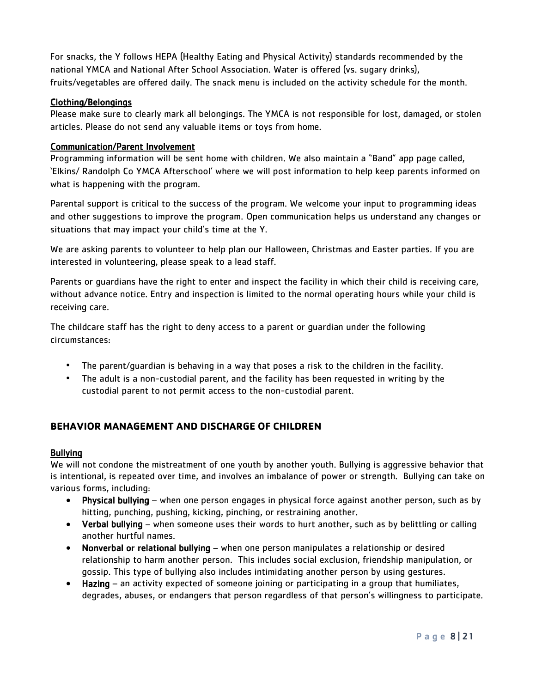For snacks, the Y follows HEPA (Healthy Eating and Physical Activity) standards recommended by the national YMCA and National After School Association. Water is offered (vs. sugary drinks), fruits/vegetables are offered daily. The snack menu is included on the activity schedule for the month.

### <span id="page-7-0"></span>Clothing/Belongings

Please make sure to clearly mark all belongings. The YMCA is not responsible for lost, damaged, or stolen articles. Please do not send any valuable items or toys from home.

# <span id="page-7-1"></span>Communication/Parent Involvement

Programming information will be sent home with children. We also maintain a "Band" app page called, 'Elkins/ Randolph Co YMCA Afterschool' where we will post information to help keep parents informed on what is happening with the program.

Parental support is critical to the success of the program. We welcome your input to programming ideas and other suggestions to improve the program. Open communication helps us understand any changes or situations that may impact your child's time at the Y.

We are asking parents to volunteer to help plan our Halloween, Christmas and Easter parties. If you are interested in volunteering, please speak to a lead staff.

Parents or guardians have the right to enter and inspect the facility in which their child is receiving care, without advance notice. Entry and inspection is limited to the normal operating hours while your child is receiving care.

The childcare staff has the right to deny access to a parent or guardian under the following circumstances:

- The parent/guardian is behaving in a way that poses a risk to the children in the facility.
- The adult is a non-custodial parent, and the facility has been requested in writing by the custodial parent to not permit access to the non-custodial parent.

# <span id="page-7-2"></span>**BEHAVIOR MANAGEMENT AND DISCHARGE OF CHILDREN**

# <span id="page-7-3"></span>Bullying

We will not condone the mistreatment of one youth by another youth. Bullying is aggressive behavior that is intentional, is repeated over time, and involves an imbalance of power or strength. Bullying can take on various forms, including:

- Physical bullying when one person engages in physical force against another person, such as by hitting, punching, pushing, kicking, pinching, or restraining another.
- Verbal bullying when someone uses their words to hurt another, such as by belittling or calling another hurtful names.
- Nonverbal or relational bullying when one person manipulates a relationship or desired relationship to harm another person. This includes social exclusion, friendship manipulation, or gossip. This type of bullying also includes intimidating another person by using gestures.
- Hazing an activity expected of someone joining or participating in a group that humiliates, degrades, abuses, or endangers that person regardless of that person's willingness to participate.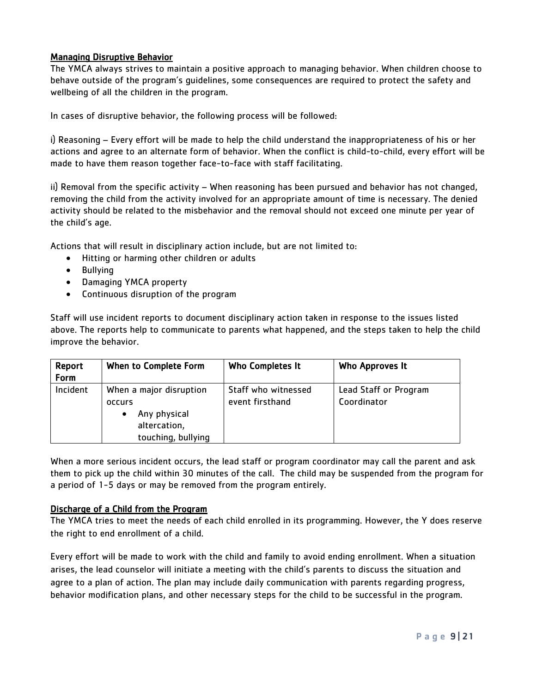# <span id="page-8-0"></span>Managing Disruptive Behavior

The YMCA always strives to maintain a positive approach to managing behavior. When children choose to behave outside of the program's guidelines, some consequences are required to protect the safety and wellbeing of all the children in the program.

In cases of disruptive behavior, the following process will be followed:

i) Reasoning – Every effort will be made to help the child understand the inappropriateness of his or her actions and agree to an alternate form of behavior. When the conflict is child-to-child, every effort will be made to have them reason together face-to-face with staff facilitating.

ii) Removal from the specific activity – When reasoning has been pursued and behavior has not changed, removing the child from the activity involved for an appropriate amount of time is necessary. The denied activity should be related to the misbehavior and the removal should not exceed one minute per year of the child's age.

Actions that will result in disciplinary action include, but are not limited to:

- Hitting or harming other children or adults
- Bullying
- Damaging YMCA property
- Continuous disruption of the program

Staff will use incident reports to document disciplinary action taken in response to the issues listed above. The reports help to communicate to parents what happened, and the steps taken to help the child improve the behavior.

| Report<br>Form | When to Complete Form                                                                   | Who Completes It                       | Who Approves It                      |
|----------------|-----------------------------------------------------------------------------------------|----------------------------------------|--------------------------------------|
| Incident       | When a major disruption<br>occurs<br>Any physical<br>altercation,<br>touching, bullying | Staff who witnessed<br>event firsthand | Lead Staff or Program<br>Coordinator |

When a more serious incident occurs, the lead staff or program coordinator may call the parent and ask them to pick up the child within 30 minutes of the call. The child may be suspended from the program for a period of 1-5 days or may be removed from the program entirely.

#### <span id="page-8-1"></span>Discharge of a Child from the Program

The YMCA tries to meet the needs of each child enrolled in its programming. However, the Y does reserve the right to end enrollment of a child.

Every effort will be made to work with the child and family to avoid ending enrollment. When a situation arises, the lead counselor will initiate a meeting with the child's parents to discuss the situation and agree to a plan of action. The plan may include daily communication with parents regarding progress, behavior modification plans, and other necessary steps for the child to be successful in the program.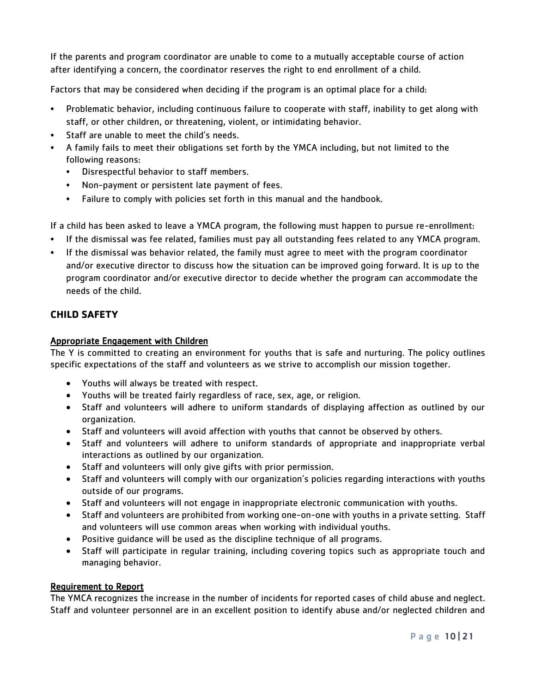If the parents and program coordinator are unable to come to a mutually acceptable course of action after identifying a concern, the coordinator reserves the right to end enrollment of a child.

Factors that may be considered when deciding if the program is an optimal place for a child:

- Problematic behavior, including continuous failure to cooperate with staff, inability to get along with staff, or other children, or threatening, violent, or intimidating behavior.
- Staff are unable to meet the child's needs.
- A family fails to meet their obligations set forth by the YMCA including, but not limited to the following reasons:
	- Disrespectful behavior to staff members.
	- Non-payment or persistent late payment of fees.
	- Failure to comply with policies set forth in this manual and the handbook.

If a child has been asked to leave a YMCA program, the following must happen to pursue re-enrollment:

- If the dismissal was fee related, families must pay all outstanding fees related to any YMCA program.
- If the dismissal was behavior related, the family must agree to meet with the program coordinator and/or executive director to discuss how the situation can be improved going forward. It is up to the program coordinator and/or executive director to decide whether the program can accommodate the needs of the child.

# <span id="page-9-0"></span>**CHILD SAFETY**

# <span id="page-9-1"></span>Appropriate Engagement with Children

The Y is committed to creating an environment for youths that is safe and nurturing. The policy outlines specific expectations of the staff and volunteers as we strive to accomplish our mission together.

- Youths will always be treated with respect.
- Youths will be treated fairly regardless of race, sex, age, or religion.
- Staff and volunteers will adhere to uniform standards of displaying affection as outlined by our organization.
- Staff and volunteers will avoid affection with youths that cannot be observed by others.
- Staff and volunteers will adhere to uniform standards of appropriate and inappropriate verbal interactions as outlined by our organization.
- Staff and volunteers will only give gifts with prior permission.
- Staff and volunteers will comply with our organization's policies regarding interactions with youths outside of our programs.
- Staff and volunteers will not engage in inappropriate electronic communication with youths.
- Staff and volunteers are prohibited from working one-on-one with youths in a private setting. Staff and volunteers will use common areas when working with individual youths.
- Positive guidance will be used as the discipline technique of all programs.
- Staff will participate in regular training, including covering topics such as appropriate touch and managing behavior.

# <span id="page-9-2"></span>Requirement to Report

The YMCA recognizes the increase in the number of incidents for reported cases of child abuse and neglect. Staff and volunteer personnel are in an excellent position to identify abuse and/or neglected children and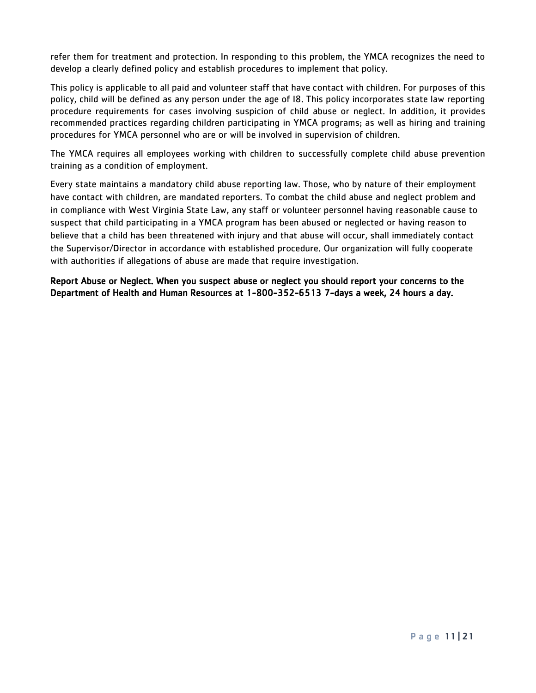refer them for treatment and protection. In responding to this problem, the YMCA recognizes the need to develop a clearly defined policy and establish procedures to implement that policy.

This policy is applicable to all paid and volunteer staff that have contact with children. For purposes of this policy, child will be defined as any person under the age of I8. This policy incorporates state law reporting procedure requirements for cases involving suspicion of child abuse or neglect. In addition, it provides recommended practices regarding children participating in YMCA programs; as well as hiring and training procedures for YMCA personnel who are or will be involved in supervision of children.

The YMCA requires all employees working with children to successfully complete child abuse prevention training as a condition of employment.

Every state maintains a mandatory child abuse reporting law. Those, who by nature of their employment have contact with children, are mandated reporters. To combat the child abuse and neglect problem and in compliance with West Virginia State Law, any staff or volunteer personnel having reasonable cause to suspect that child participating in a YMCA program has been abused or neglected or having reason to believe that a child has been threatened with injury and that abuse will occur, shall immediately contact the Supervisor/Director in accordance with established procedure. Our organization will fully cooperate with authorities if allegations of abuse are made that require investigation.

Report Abuse or Neglect. When you suspect abuse or neglect you should report your concerns to the Department of Health and Human Resources at 1-800-352-6513 7-days a week, 24 hours a day.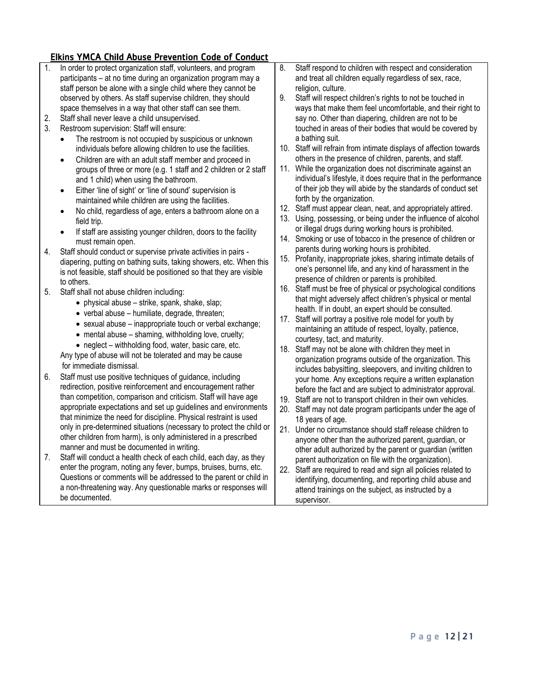# <span id="page-11-0"></span>Elkins YMCA Child Abuse Prevention Code of Conduct

- 1. In order to protect organization staff, volunteers, and program participants – at no time during an organization program may a staff person be alone with a single child where they cannot be observed by others. As staff supervise children, they should space themselves in a way that other staff can see them.
- 2. Staff shall never leave a child unsupervised.
- 3. Restroom supervision: Staff will ensure:
	- The restroom is not occupied by suspicious or unknown individuals before allowing children to use the facilities.
	- Children are with an adult staff member and proceed in groups of three or more (e.g. 1 staff and 2 children or 2 staff and 1 child) when using the bathroom.
	- Either 'line of sight' or 'line of sound' supervision is maintained while children are using the facilities.
	- No child, regardless of age, enters a bathroom alone on a field trip.
	- If staff are assisting younger children, doors to the facility must remain open.
- 4. Staff should conduct or supervise private activities in pairs diapering, putting on bathing suits, taking showers, etc. When this is not feasible, staff should be positioned so that they are visible to others.
- 5. Staff shall not abuse children including:
	- physical abuse strike, spank, shake, slap;
	- verbal abuse humiliate, degrade, threaten;
	- sexual abuse inappropriate touch or verbal exchange;
	- mental abuse shaming, withholding love, cruelty;
	- neglect withholding food, water, basic care, etc.

 Any type of abuse will not be tolerated and may be cause for immediate dismissal.

- 6. Staff must use positive techniques of guidance, including redirection, positive reinforcement and encouragement rather than competition, comparison and criticism. Staff will have age appropriate expectations and set up guidelines and environments that minimize the need for discipline. Physical restraint is used only in pre-determined situations (necessary to protect the child or other children from harm), is only administered in a prescribed manner and must be documented in writing.
- 7. Staff will conduct a health check of each child, each day, as they enter the program, noting any fever, bumps, bruises, burns, etc. Questions or comments will be addressed to the parent or child in a non-threatening way. Any questionable marks or responses will be documented.
- 8. Staff respond to children with respect and consideration and treat all children equally regardless of sex, race, religion, culture.
- 9. Staff will respect children's rights to not be touched in ways that make them feel uncomfortable, and their right to say no. Other than diapering, children are not to be touched in areas of their bodies that would be covered by a bathing suit.
- 10. Staff will refrain from intimate displays of affection towards others in the presence of children, parents, and staff.
- 11. While the organization does not discriminate against an individual's lifestyle, it does require that in the performance of their job they will abide by the standards of conduct set forth by the organization.
- 12. Staff must appear clean, neat, and appropriately attired.
- 13. Using, possessing, or being under the influence of alcohol or illegal drugs during working hours is prohibited.
- 14. Smoking or use of tobacco in the presence of children or parents during working hours is prohibited.
- 15. Profanity, inappropriate jokes, sharing intimate details of one's personnel life, and any kind of harassment in the presence of children or parents is prohibited.
- 16. Staff must be free of physical or psychological conditions that might adversely affect children's physical or mental health. If in doubt, an expert should be consulted.
- 17. Staff will portray a positive role model for youth by maintaining an attitude of respect, loyalty, patience, courtesy, tact, and maturity.
- 18. Staff may not be alone with children they meet in organization programs outside of the organization. This includes babysitting, sleepovers, and inviting children to your home. Any exceptions require a written explanation before the fact and are subject to administrator approval.
- 19. Staff are not to transport children in their own vehicles.
- 20. Staff may not date program participants under the age of 18 years of age.
- 21. Under no circumstance should staff release children to anyone other than the authorized parent, guardian, or other adult authorized by the parent or guardian (written parent authorization on file with the organization).
- 22. Staff are required to read and sign all policies related to identifying, documenting, and reporting child abuse and attend trainings on the subject, as instructed by a supervisor.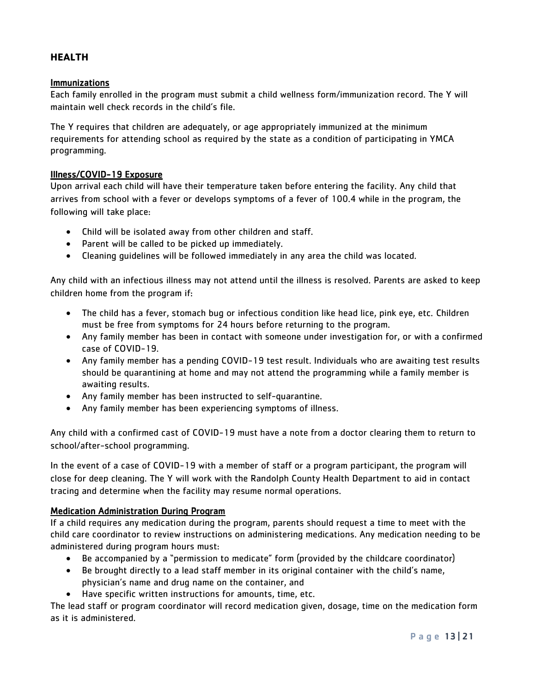# <span id="page-12-0"></span>**HEALTH**

#### <span id="page-12-1"></span>Immunizations

Each family enrolled in the program must submit a child wellness form/immunization record. The Y will maintain well check records in the child's file.

The Y requires that children are adequately, or age appropriately immunized at the minimum requirements for attending school as required by the state as a condition of participating in YMCA programming.

#### <span id="page-12-2"></span>Illness/COVID-19 Exposure

Upon arrival each child will have their temperature taken before entering the facility. Any child that arrives from school with a fever or develops symptoms of a fever of 100.4 while in the program, the following will take place:

- Child will be isolated away from other children and staff.
- Parent will be called to be picked up immediately.
- Cleaning guidelines will be followed immediately in any area the child was located.

Any child with an infectious illness may not attend until the illness is resolved. Parents are asked to keep children home from the program if:

- The child has a fever, stomach bug or infectious condition like head lice, pink eye, etc. Children must be free from symptoms for 24 hours before returning to the program.
- Any family member has been in contact with someone under investigation for, or with a confirmed case of COVID-19.
- Any family member has a pending COVID-19 test result. Individuals who are awaiting test results should be quarantining at home and may not attend the programming while a family member is awaiting results.
- Any family member has been instructed to self-quarantine.
- Any family member has been experiencing symptoms of illness.

Any child with a confirmed cast of COVID-19 must have a note from a doctor clearing them to return to school/after-school programming.

In the event of a case of COVID-19 with a member of staff or a program participant, the program will close for deep cleaning. The Y will work with the Randolph County Health Department to aid in contact tracing and determine when the facility may resume normal operations.

#### <span id="page-12-3"></span>Medication Administration During Program

If a child requires any medication during the program, parents should request a time to meet with the child care coordinator to review instructions on administering medications. Any medication needing to be administered during program hours must:

- Be accompanied by a "permission to medicate" form (provided by the childcare coordinator)
- Be brought directly to a lead staff member in its original container with the child's name, physician's name and drug name on the container, and
- Have specific written instructions for amounts, time, etc.

The lead staff or program coordinator will record medication given, dosage, time on the medication form as it is administered.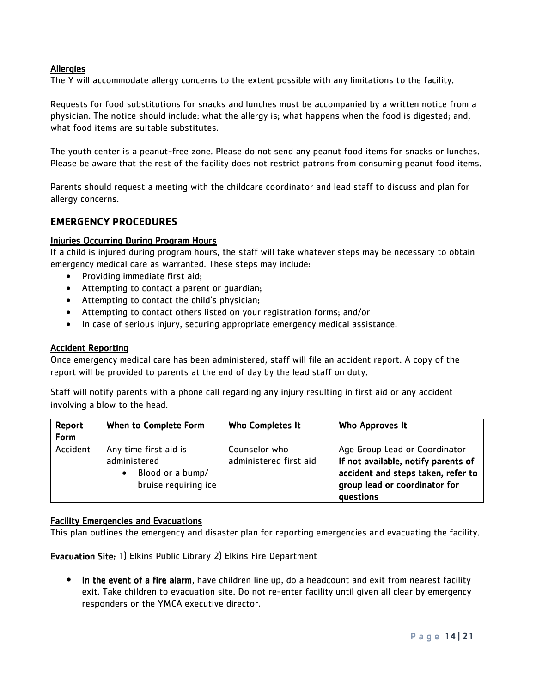### <span id="page-13-0"></span>**Allergies**

The Y will accommodate allergy concerns to the extent possible with any limitations to the facility.

Requests for food substitutions for snacks and lunches must be accompanied by a written notice from a physician. The notice should include: what the allergy is; what happens when the food is digested; and, what food items are suitable substitutes.

The youth center is a peanut-free zone. Please do not send any peanut food items for snacks or lunches. Please be aware that the rest of the facility does not restrict patrons from consuming peanut food items.

Parents should request a meeting with the childcare coordinator and lead staff to discuss and plan for allergy concerns.

# <span id="page-13-1"></span>**EMERGENCY PROCEDURES**

#### <span id="page-13-2"></span>Injuries Occurring During Program Hours

If a child is injured during program hours, the staff will take whatever steps may be necessary to obtain emergency medical care as warranted. These steps may include:

- Providing immediate first aid;
- Attempting to contact a parent or guardian;
- Attempting to contact the child's physician;
- Attempting to contact others listed on your registration forms; and/or
- In case of serious injury, securing appropriate emergency medical assistance.

### <span id="page-13-3"></span>**Accident Reporting**

Once emergency medical care has been administered, staff will file an accident report. A copy of the report will be provided to parents at the end of day by the lead staff on duty.

Staff will notify parents with a phone call regarding any injury resulting in first aid or any accident involving a blow to the head.

| Report<br>Form | When to Complete Form                                                                          | Who Completes It                        | Who Approves It                                                                                                                                          |
|----------------|------------------------------------------------------------------------------------------------|-----------------------------------------|----------------------------------------------------------------------------------------------------------------------------------------------------------|
| Accident       | Any time first aid is<br>administered<br>Blood or a bump/<br>$\bullet$<br>bruise requiring ice | Counselor who<br>administered first aid | Age Group Lead or Coordinator<br>If not available, notify parents of<br>accident and steps taken, refer to<br>group lead or coordinator for<br>questions |

#### <span id="page-13-4"></span>Facility Emergencies and Evacuations

This plan outlines the emergency and disaster plan for reporting emergencies and evacuating the facility.

Evacuation Site: 1) Elkins Public Library 2) Elkins Fire Department

• In the event of a fire alarm, have children line up, do a headcount and exit from nearest facility exit. Take children to evacuation site. Do not re-enter facility until given all clear by emergency responders or the YMCA executive director.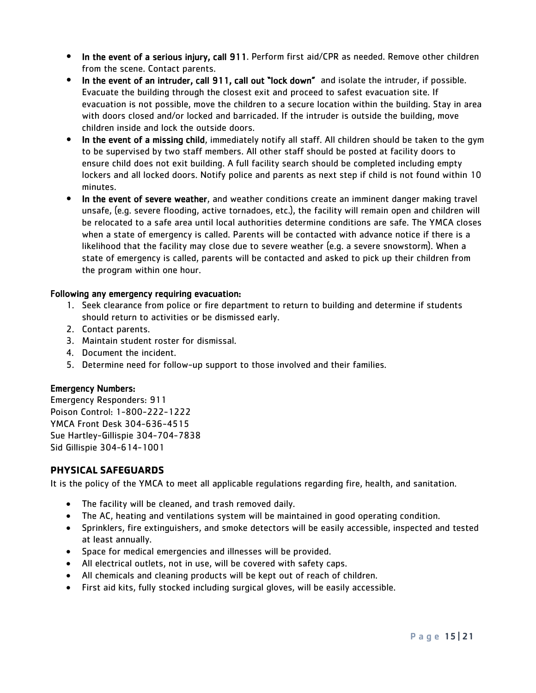- In the event of a serious injury, call 911. Perform first aid/CPR as needed. Remove other children from the scene. Contact parents.
- In the event of an intruder, call 911, call out "lock down" and isolate the intruder, if possible. Evacuate the building through the closest exit and proceed to safest evacuation site. If evacuation is not possible, move the children to a secure location within the building. Stay in area with doors closed and/or locked and barricaded. If the intruder is outside the building, move children inside and lock the outside doors.
- In the event of a missing child, immediately notify all staff. All children should be taken to the gym to be supervised by two staff members. All other staff should be posted at facility doors to ensure child does not exit building. A full facility search should be completed including empty lockers and all locked doors. Notify police and parents as next step if child is not found within 10 minutes.
- In the event of severe weather, and weather conditions create an imminent danger making travel unsafe, (e.g. severe flooding, active tornadoes, etc.), the facility will remain open and children will be relocated to a safe area until local authorities determine conditions are safe. The YMCA closes when a state of emergency is called. Parents will be contacted with advance notice if there is a likelihood that the facility may close due to severe weather (e.g. a severe snowstorm). When a state of emergency is called, parents will be contacted and asked to pick up their children from the program within one hour.

# Following any emergency requiring evacuation:

- 1. Seek clearance from police or fire department to return to building and determine if students should return to activities or be dismissed early.
- 2. Contact parents.
- 3. Maintain student roster for dismissal.
- 4. Document the incident.
- 5. Determine need for follow-up support to those involved and their families.

#### Emergency Numbers:

Emergency Responders: 911 Poison Control: 1-800-222-1222 YMCA Front Desk 304-636-4515 Sue Hartley-Gillispie 304-704-7838 Sid Gillispie 304-614-1001

# <span id="page-14-0"></span>**PHYSICAL SAFEGUARDS**

It is the policy of the YMCA to meet all applicable regulations regarding fire, health, and sanitation.

- The facility will be cleaned, and trash removed daily.
- The AC, heating and ventilations system will be maintained in good operating condition.
- Sprinklers, fire extinguishers, and smoke detectors will be easily accessible, inspected and tested at least annually.
- Space for medical emergencies and illnesses will be provided.
- All electrical outlets, not in use, will be covered with safety caps.
- All chemicals and cleaning products will be kept out of reach of children.
- First aid kits, fully stocked including surgical gloves, will be easily accessible.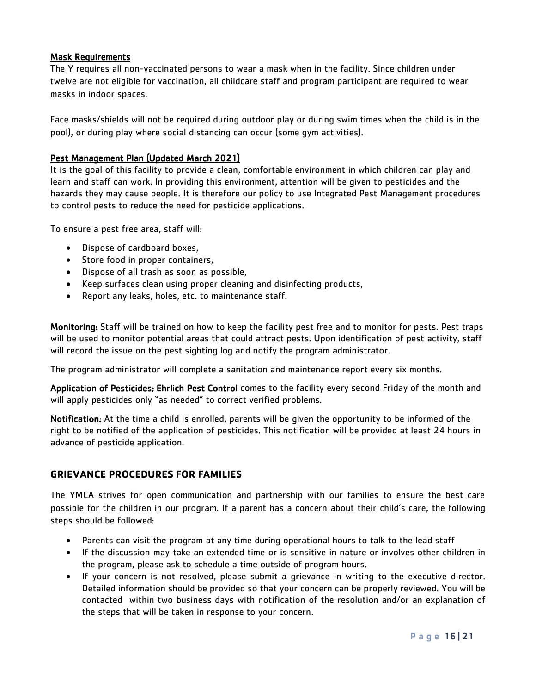# <span id="page-15-0"></span>Mask Requirements

The Y requires all non-vaccinated persons to wear a mask when in the facility. Since children under twelve are not eligible for vaccination, all childcare staff and program participant are required to wear masks in indoor spaces.

Face masks/shields will not be required during outdoor play or during swim times when the child is in the pool), or during play where social distancing can occur (some gym activities).

# <span id="page-15-1"></span>Pest Management Plan (Updated March 2021)

It is the goal of this facility to provide a clean, comfortable environment in which children can play and learn and staff can work. In providing this environment, attention will be given to pesticides and the hazards they may cause people. It is therefore our policy to use Integrated Pest Management procedures to control pests to reduce the need for pesticide applications.

To ensure a pest free area, staff will:

- Dispose of cardboard boxes,
- Store food in proper containers,
- Dispose of all trash as soon as possible,
- Keep surfaces clean using proper cleaning and disinfecting products,
- Report any leaks, holes, etc. to maintenance staff.

Monitoring: Staff will be trained on how to keep the facility pest free and to monitor for pests. Pest traps will be used to monitor potential areas that could attract pests. Upon identification of pest activity, staff will record the issue on the pest sighting log and notify the program administrator.

The program administrator will complete a sanitation and maintenance report every six months.

Application of Pesticides: Ehrlich Pest Control comes to the facility every second Friday of the month and will apply pesticides only "as needed" to correct verified problems.

Notification: At the time a child is enrolled, parents will be given the opportunity to be informed of the right to be notified of the application of pesticides. This notification will be provided at least 24 hours in advance of pesticide application.

# **GRIEVANCE PROCEDURES FOR FAMILIES**

The YMCA strives for open communication and partnership with our families to ensure the best care possible for the children in our program. If a parent has a concern about their child's care, the following steps should be followed:

- Parents can visit the program at any time during operational hours to talk to the lead staff
- If the discussion may take an extended time or is sensitive in nature or involves other children in the program, please ask to schedule a time outside of program hours.
- If your concern is not resolved, please submit a grievance in writing to the executive director. Detailed information should be provided so that your concern can be properly reviewed. You will be contacted within two business days with notification of the resolution and/or an explanation of the steps that will be taken in response to your concern.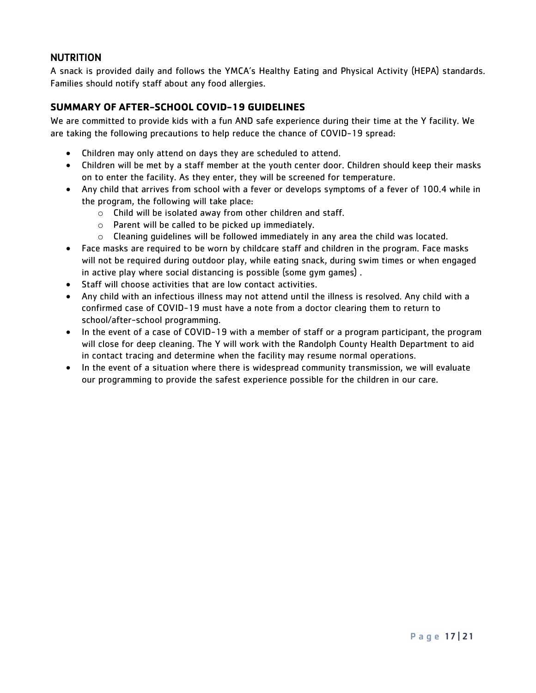# <span id="page-16-0"></span>NUTRITION

A snack is provided daily and follows the YMCA's Healthy Eating and Physical Activity (HEPA) standards. Families should notify staff about any food allergies.

# <span id="page-16-1"></span>**SUMMARY OF AFTER-SCHOOL COVID-19 GUIDELINES**

We are committed to provide kids with a fun AND safe experience during their time at the Y facility. We are taking the following precautions to help reduce the chance of COVID-19 spread:

- Children may only attend on days they are scheduled to attend.
- Children will be met by a staff member at the youth center door. Children should keep their masks on to enter the facility. As they enter, they will be screened for temperature.
- Any child that arrives from school with a fever or develops symptoms of a fever of 100.4 while in the program, the following will take place:
	- o Child will be isolated away from other children and staff.
	- o Parent will be called to be picked up immediately.
	- $\circ$  Cleaning guidelines will be followed immediately in any area the child was located.
- Face masks are required to be worn by childcare staff and children in the program. Face masks will not be required during outdoor play, while eating snack, during swim times or when engaged in active play where social distancing is possible (some gym games) .
- Staff will choose activities that are low contact activities.
- Any child with an infectious illness may not attend until the illness is resolved. Any child with a confirmed case of COVID-19 must have a note from a doctor clearing them to return to school/after-school programming.
- In the event of a case of COVID-19 with a member of staff or a program participant, the program will close for deep cleaning. The Y will work with the Randolph County Health Department to aid in contact tracing and determine when the facility may resume normal operations.
- In the event of a situation where there is widespread community transmission, we will evaluate our programming to provide the safest experience possible for the children in our care.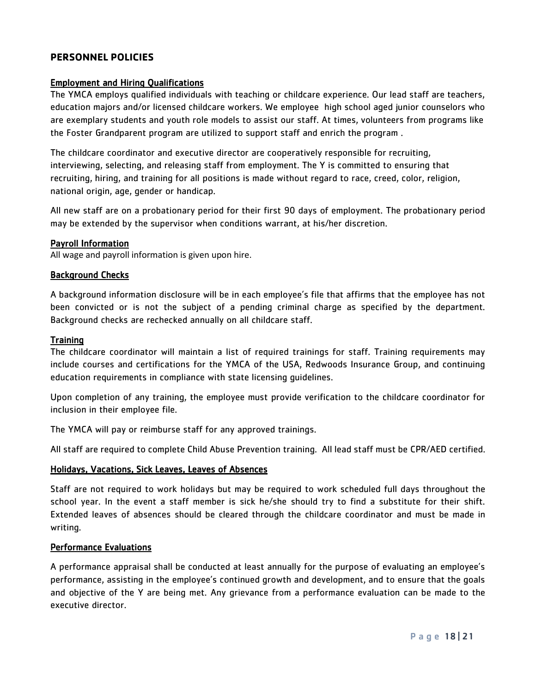# <span id="page-17-0"></span>**PERSONNEL POLICIES**

#### <span id="page-17-1"></span>Employment and Hiring Qualifications

The YMCA employs qualified individuals with teaching or childcare experience. Our lead staff are teachers, education majors and/or licensed childcare workers. We employee high school aged junior counselors who are exemplary students and youth role models to assist our staff. At times, volunteers from programs like the Foster Grandparent program are utilized to support staff and enrich the program .

The childcare coordinator and executive director are cooperatively responsible for recruiting, interviewing, selecting, and releasing staff from employment. The Y is committed to ensuring that recruiting, hiring, and training for all positions is made without regard to race, creed, color, religion, national origin, age, gender or handicap.

All new staff are on a probationary period for their first 90 days of employment. The probationary period may be extended by the supervisor when conditions warrant, at his/her discretion.

#### <span id="page-17-2"></span>Payroll Information

All wage and payroll information is given upon hire.

#### Background Checks

A background information disclosure will be in each employee's file that affirms that the employee has not been convicted or is not the subject of a pending criminal charge as specified by the department. Background checks are rechecked annually on all childcare staff.

#### <span id="page-17-3"></span>**Training**

The childcare coordinator will maintain a list of required trainings for staff. Training requirements may include courses and certifications for the YMCA of the USA, Redwoods Insurance Group, and continuing education requirements in compliance with state licensing guidelines.

Upon completion of any training, the employee must provide verification to the childcare coordinator for inclusion in their employee file.

The YMCA will pay or reimburse staff for any approved trainings.

All staff are required to complete Child Abuse Prevention training. All lead staff must be CPR/AED certified.

#### Holidays, Vacations, Sick Leaves, Leaves of Absences

Staff are not required to work holidays but may be required to work scheduled full days throughout the school year. In the event a staff member is sick he/she should try to find a substitute for their shift. Extended leaves of absences should be cleared through the childcare coordinator and must be made in writing.

#### Performance Evaluations

A performance appraisal shall be conducted at least annually for the purpose of evaluating an employee's performance, assisting in the employee's continued growth and development, and to ensure that the goals and objective of the Y are being met. Any grievance from a performance evaluation can be made to the executive director.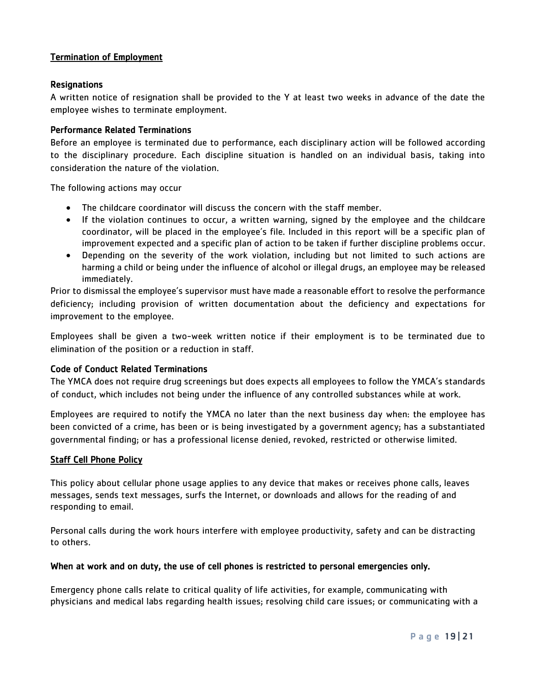# <span id="page-18-0"></span>Termination of Employment

#### <span id="page-18-1"></span>**Resignations**

A written notice of resignation shall be provided to the Y at least two weeks in advance of the date the employee wishes to terminate employment.

#### <span id="page-18-2"></span>Performance Related Terminations

Before an employee is terminated due to performance, each disciplinary action will be followed according to the disciplinary procedure. Each discipline situation is handled on an individual basis, taking into consideration the nature of the violation.

The following actions may occur

- The childcare coordinator will discuss the concern with the staff member.
- If the violation continues to occur, a written warning, signed by the employee and the childcare coordinator, will be placed in the employee's file. Included in this report will be a specific plan of improvement expected and a specific plan of action to be taken if further discipline problems occur.
- Depending on the severity of the work violation, including but not limited to such actions are harming a child or being under the influence of alcohol or illegal drugs, an employee may be released immediately.

Prior to dismissal the employee's supervisor must have made a reasonable effort to resolve the performance deficiency; including provision of written documentation about the deficiency and expectations for improvement to the employee.

Employees shall be given a two-week written notice if their employment is to be terminated due to elimination of the position or a reduction in staff.

#### <span id="page-18-3"></span>Code of Conduct Related Terminations

The YMCA does not require drug screenings but does expects all employees to follow the YMCA's standards of conduct, which includes not being under the influence of any controlled substances while at work.

Employees are required to notify the YMCA no later than the next business day when: the employee has been convicted of a crime, has been or is being investigated by a government agency; has a substantiated governmental finding; or has a professional license denied, revoked, restricted or otherwise limited.

#### <span id="page-18-4"></span>Staff Cell Phone Policy

This policy about cellular phone usage applies to any device that makes or receives phone calls, leaves messages, sends text messages, surfs the Internet, or downloads and allows for the reading of and responding to email.

Personal calls during the work hours interfere with employee productivity, safety and can be distracting to others.

#### When at work and on duty, the use of cell phones is restricted to personal emergencies only.

Emergency phone calls relate to critical quality of life activities, for example, communicating with physicians and medical labs regarding health issues; resolving child care issues; or communicating with a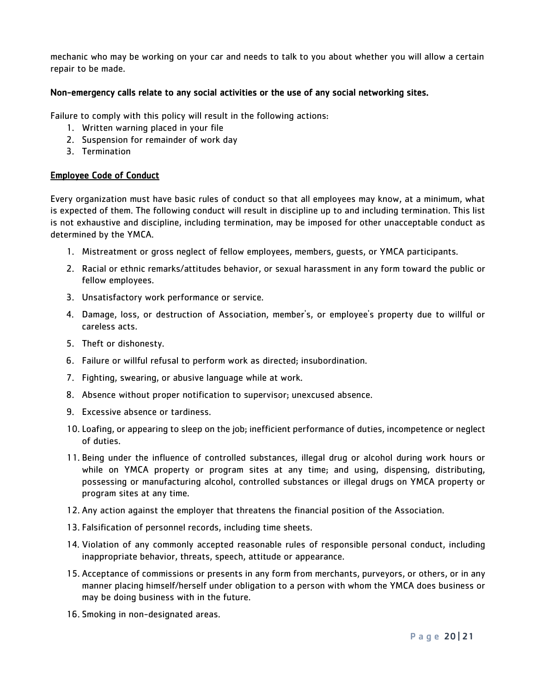mechanic who may be working on your car and needs to talk to you about whether you will allow a certain repair to be made.

### Non-emergency calls relate to any social activities or the use of any social networking sites.

Failure to comply with this policy will result in the following actions:

- 1. Written warning placed in your file
- 2. Suspension for remainder of work day
- 3. Termination

#### <span id="page-19-0"></span>Employee Code of Conduct

Every organization must have basic rules of conduct so that all employees may know, at a minimum, what is expected of them. The following conduct will result in discipline up to and including termination. This list is not exhaustive and discipline, including termination, may be imposed for other unacceptable conduct as determined by the YMCA.

- 1. Mistreatment or gross neglect of fellow employees, members, guests, or YMCA participants.
- 2. Racial or ethnic remarks/attitudes behavior, or sexual harassment in any form toward the public or fellow employees.
- 3. Unsatisfactory work performance or service.
- 4. Damage, loss, or destruction of Association, member's, or employee's property due to willful or careless acts.
- 5. Theft or dishonesty.
- 6. Failure or willful refusal to perform work as directed; insubordination.
- 7. Fighting, swearing, or abusive language while at work.
- 8. Absence without proper notification to supervisor; unexcused absence.
- 9. Excessive absence or tardiness.
- 10. Loafing, or appearing to sleep on the job; inefficient performance of duties, incompetence or neglect of duties.
- 11. Being under the influence of controlled substances, illegal drug or alcohol during work hours or while on YMCA property or program sites at any time; and using, dispensing, distributing, possessing or manufacturing alcohol, controlled substances or illegal drugs on YMCA property or program sites at any time.
- 12. Any action against the employer that threatens the financial position of the Association.
- 13. Falsification of personnel records, including time sheets.
- 14. Violation of any commonly accepted reasonable rules of responsible personal conduct, including inappropriate behavior, threats, speech, attitude or appearance.
- 15. Acceptance of commissions or presents in any form from merchants, purveyors, or others, or in any manner placing himself/herself under obligation to a person with whom the YMCA does business or may be doing business with in the future.
- 16. Smoking in non-designated areas.